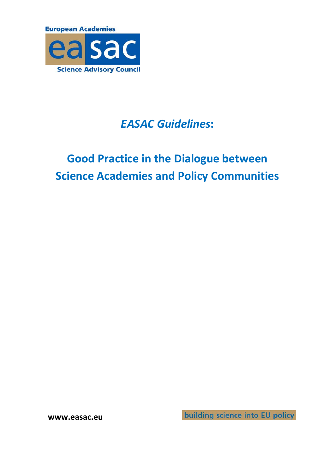

## *EASAC Guidelines***:**

# **Good Practice in the Dialogue between Science Academies and Policy Communities**

**www.easac.eu**

building science into EU policy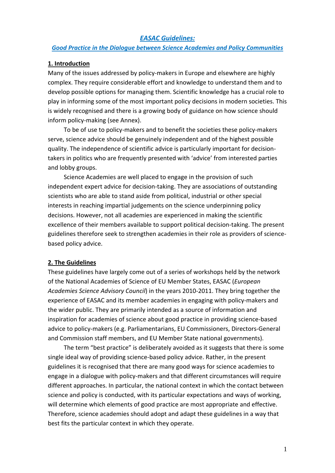#### *EASAC Guidelines:*

#### *Good Practice in the Dialogue between Science Academies and Policy Communities*

#### **1. Introduction**

Many of the issues addressed by policy‐makers in Europe and elsewhere are highly complex. They require considerable effort and knowledge to understand them and to develop possible options for managing them. Scientific knowledge has a crucial role to play in informing some of the most important policy decisions in modern societies. This is widely recognised and there is a growing body of guidance on how science should inform policy‐making (see Annex).

To be of use to policy‐makers and to benefit the societies these policy‐makers serve, science advice should be genuinely independent and of the highest possible quality. The independence of scientific advice is particularly important for decision‐ takers in politics who are frequently presented with 'advice' from interested parties and lobby groups.

Science Academies are well placed to engage in the provision of such independent expert advice for decision‐taking. They are associations of outstanding scientists who are able to stand aside from political, industrial or other special interests in reaching impartial judgements on the science underpinning policy decisions. However, not all academies are experienced in making the scientific excellence of their members available to support political decision‐taking. The present guidelines therefore seek to strengthen academies in their role as providers of science‐ based policy advice.

#### **2. The Guidelines**

These guidelines have largely come out of a series of workshops held by the network of the National Academies of Science of EU Member States, EASAC (*European Academies Science Advisory Council*) in the years 2010‐2011. They bring together the experience of EASAC and its member academies in engaging with policy‐makers and the wider public. They are primarily intended as a source of information and inspiration for academies of science about good practice in providing science‐based advice to policy‐makers (e.g. Parliamentarians, EU Commissioners, Directors‐General and Commission staff members, and EU Member State national governments).

The term "best practice" is deliberately avoided as it suggests that there is some single ideal way of providing science‐based policy advice. Rather, in the present guidelines it is recognised that there are many good ways for science academies to engage in a dialogue with policy-makers and that different circumstances will require different approaches. In particular, the national context in which the contact between science and policy is conducted, with its particular expectations and ways of working, will determine which elements of good practice are most appropriate and effective. Therefore, science academies should adopt and adapt these guidelines in a way that best fits the particular context in which they operate.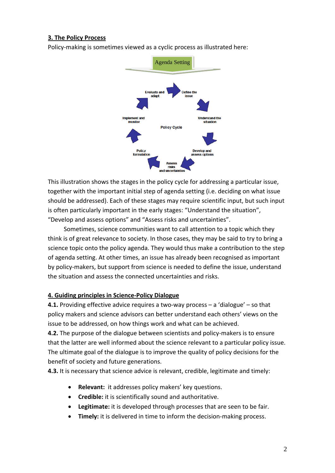#### **3. The Policy Process**

Policy‐making is sometimes viewed as a cyclic process as illustrated here:



This illustration shows the stages in the policy cycle for addressing a particular issue, together with the important initial step of agenda setting (i.e. deciding on what issue should be addressed). Each of these stages may require scientific input, but such input is often particularly important in the early stages: "Understand the situation", "Develop and assess options" and "Assess risks and uncertainties".

Sometimes, science communities want to call attention to a topic which they think is of great relevance to society. In those cases, they may be said to try to bring a science topic onto the policy agenda. They would thus make a contribution to the step of agenda setting. At other times, an issue has already been recognised as important by policy‐makers, but support from science is needed to define the issue, understand the situation and assess the connected uncertainties and risks.

#### **4. Guiding principles in Science‐Policy Dialogue**

**4.1.** Providing effective advice requires a two‐way process – a 'dialogue' – so that policy makers and science advisors can better understand each others' views on the issue to be addressed, on how things work and what can be achieved.

**4.2.** The purpose of the dialogue between scientists and policy‐makers is to ensure that the latter are well informed about the science relevant to a particular policy issue. The ultimate goal of the dialogue is to improve the quality of policy decisions for the benefit of society and future generations.

**4.3.** It is necessary that science advice is relevant, credible, legitimate and timely:

- **Relevant:** it addresses policy makers' key questions.
- **Credible:** it is scientifically sound and authoritative.
- **Legitimate:** it is developed through processes that are seen to be fair.
- **Timely:** it is delivered in time to inform the decision‐making process.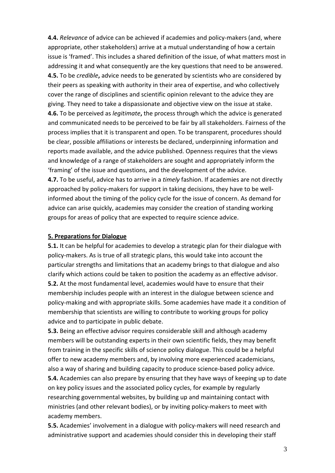**4.4.** *Relevance* of advice can be achieved if academies and policy‐makers (and, where appropriate, other stakeholders) arrive at a mutual understanding of how a certain issue is 'framed'. This includes a shared definition of the issue, of what matters most in addressing it and what consequently are the key questions that need to be answered. **4.5.** To be *credible***,** advice needs to be generated by scientists who are considered by their peers as speaking with authority in their area of expertise, and who collectively cover the range of disciplines and scientific opinion relevant to the advice they are giving. They need to take a dispassionate and objective view on the issue at stake. **4.6.** To be perceived as *legitimate***,** the process through which the advice is generated and communicated needs to be perceived to be fair by all stakeholders. Fairness of the process implies that it is transparent and open. To be transparent, procedures should be clear, possible affiliations or interests be declared, underpinning information and reports made available, and the advice published. Openness requires that the views and knowledge of a range of stakeholders are sought and appropriately inform the 'framing' of the issue and questions, and the development of the advice. **4.7.** To be useful, advice has to arrive in a *timely* fashion. If academies are not directly approached by policy-makers for support in taking decisions, they have to be wellinformed about the timing of the policy cycle for the issue of concern. As demand for

**5. Preparations for Dialogue**

**5.1.** It can be helpful for academies to develop a strategic plan for their dialogue with policy‐makers. As is true of all strategic plans, this would take into account the particular strengths and limitations that an academy brings to that dialogue and also clarify which actions could be taken to position the academy as an effective advisor. **5.2.** At the most fundamental level, academies would have to ensure that their membership includes people with an interest in the dialogue between science and policy‐making and with appropriate skills. Some academies have made it a condition of membership that scientists are willing to contribute to working groups for policy advice and to participate in public debate.

advice can arise quickly, academies may consider the creation of standing working

groups for areas of policy that are expected to require science advice.

**5.3.** Being an effective advisor requires considerable skill and although academy members will be outstanding experts in their own scientific fields, they may benefit from training in the specific skills of science policy dialogue. This could be a helpful offer to new academy members and, by involving more experienced academicians, also a way of sharing and building capacity to produce science‐based policy advice. **5.4.** Academies can also prepare by ensuring that they have ways of keeping up to date on key policy issues and the associated policy cycles, for example by regularly researching governmental websites, by building up and maintaining contact with ministries (and other relevant bodies), or by inviting policy‐makers to meet with academy members.

**5.5.** Academies' involvement in a dialogue with policy‐makers will need research and administrative support and academies should consider this in developing their staff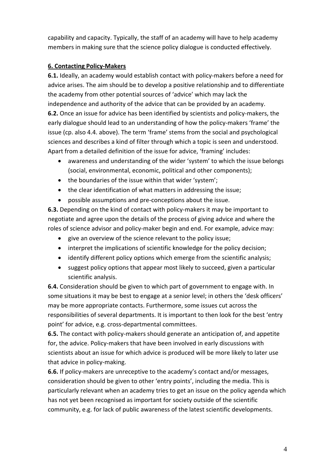capability and capacity. Typically, the staff of an academy will have to help academy members in making sure that the science policy dialogue is conducted effectively.

#### **6. Contacting Policy‐Makers**

**6.1.** Ideally, an academy would establish contact with policy‐makers before a need for advice arises. The aim should be to develop a positive relationship and to differentiate the academy from other potential sources of 'advice' which may lack the independence and authority of the advice that can be provided by an academy. **6.2.** Once an issue for advice has been identified by scientists and policy‐makers, the early dialogue should lead to an understanding of how the policy‐makers 'frame' the issue (cp. also 4.4. above). The term 'frame' stems from the social and psychological sciences and describes a kind of filter through which a topic is seen and understood. Apart from a detailed definition of the issue for advice, 'framing' includes:

- awareness and understanding of the wider 'system' to which the issue belongs (social, environmental, economic, political and other components);
- the boundaries of the issue within that wider 'system';
- the clear identification of what matters in addressing the issue;
- possible assumptions and pre-conceptions about the issue.

**6.3.** Depending on the kind of contact with policy‐makers it may be important to negotiate and agree upon the details of the process of giving advice and where the roles of science advisor and policy-maker begin and end. For example, advice may:

- give an overview of the science relevant to the policy issue;
- interpret the implications of scientific knowledge for the policy decision;
- identify different policy options which emerge from the scientific analysis;
- suggest policy options that appear most likely to succeed, given a particular scientific analysis.

**6.4.** Consideration should be given to which part of government to engage with. In some situations it may be best to engage at a senior level; in others the 'desk officers' may be more appropriate contacts. Furthermore, some issues cut across the responsibilities of several departments. It is important to then look for the best 'entry point' for advice, e.g. cross‐departmental committees.

**6.5.** The contact with policy‐makers should generate an anticipation of, and appetite for, the advice. Policy-makers that have been involved in early discussions with scientists about an issue for which advice is produced will be more likely to later use that advice in policy‐making.

**6.6.** If policy-makers are unreceptive to the academy's contact and/or messages, consideration should be given to other 'entry points', including the media. This is particularly relevant when an academy tries to get an issue on the policy agenda which has not yet been recognised as important for society outside of the scientific community, e.g. for lack of public awareness of the latest scientific developments.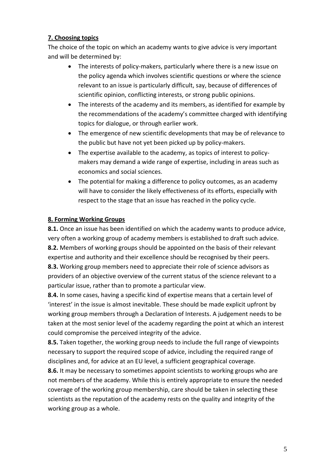## **7. Choosing topics**

The choice of the topic on which an academy wants to give advice is very important and will be determined by:

- The interests of policy‐makers, particularly where there is a new issue on the policy agenda which involves scientific questions or where the science relevant to an issue is particularly difficult, say, because of differences of scientific opinion, conflicting interests, or strong public opinions.
- The interests of the academy and its members, as identified for example by the recommendations of the academy's committee charged with identifying topics for dialogue, or through earlier work.
- The emergence of new scientific developments that may be of relevance to the public but have not yet been picked up by policy‐makers.
- The expertise available to the academy, as topics of interest to policymakers may demand a wide range of expertise, including in areas such as economics and social sciences.
- The potential for making a difference to policy outcomes, as an academy will have to consider the likely effectiveness of its efforts, especially with respect to the stage that an issue has reached in the policy cycle.

## **8. Forming Working Groups**

**8.1.** Once an issue has been identified on which the academy wants to produce advice, very often a working group of academy members is established to draft such advice. **8.2.** Members of working groups should be appointed on the basis of their relevant expertise and authority and their excellence should be recognised by their peers. **8.3.** Working group members need to appreciate their role of science advisors as providers of an objective overview of the current status of the science relevant to a particular issue, rather than to promote a particular view.

**8.4.** In some cases, having a specific kind of expertise means that a certain level of 'interest' in the issue is almost inevitable. These should be made explicit upfront by working group members through a Declaration of Interests. A judgement needs to be taken at the most senior level of the academy regarding the point at which an interest could compromise the perceived integrity of the advice.

**8.5.** Taken together, the working group needs to include the full range of viewpoints necessary to support the required scope of advice, including the required range of disciplines and, for advice at an EU level, a sufficient geographical coverage.

**8.6.** It may be necessary to sometimes appoint scientists to working groups who are not members of the academy. While this is entirely appropriate to ensure the needed coverage of the working group membership, care should be taken in selecting these scientists as the reputation of the academy rests on the quality and integrity of the working group as a whole.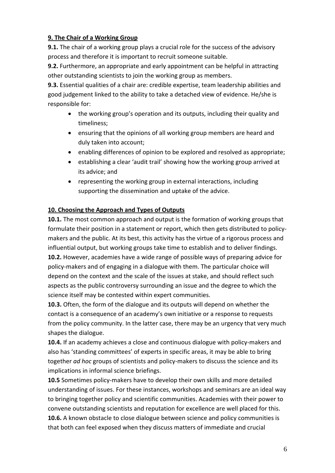## **9. The Chair of a Working Group**

**9.1.** The chair of a working group plays a crucial role for the success of the advisory process and therefore it is important to recruit someone suitable.

**9.2.** Furthermore, an appropriate and early appointment can be helpful in attracting other outstanding scientists to join the working group as members.

**9.3.** Essential qualities of a chair are: credible expertise, team leadership abilities and good judgement linked to the ability to take a detached view of evidence. He/she is responsible for:

- the working group's operation and its outputs, including their quality and timeliness;
- ensuring that the opinions of all working group members are heard and duly taken into account;
- enabling differences of opinion to be explored and resolved as appropriate;
- establishing a clear 'audit trail' showing how the working group arrived at its advice; and
- representing the working group in external interactions, including supporting the dissemination and uptake of the advice.

## **10. Choosing the Approach and Types of Outputs**

**10.1.** The most common approach and output is the formation of working groups that formulate their position in a statement or report, which then gets distributed to policy‐ makers and the public. At its best, this activity has the virtue of a rigorous process and influential output, but working groups take time to establish and to deliver findings. **10.2.** However, academies have a wide range of possible ways of preparing advice for policy‐makers and of engaging in a dialogue with them. The particular choice will depend on the context and the scale of the issues at stake, and should reflect such aspects as the public controversy surrounding an issue and the degree to which the science itself may be contested within expert communities.

**10.3.** Often, the form of the dialogue and its outputs will depend on whether the contact is a consequence of an academy's own initiative or a response to requests from the policy community. In the latter case, there may be an urgency that very much shapes the dialogue.

10.4. If an academy achieves a close and continuous dialogue with policy-makers and also has 'standing committees' of experts in specific areas, it may be able to bring together *ad hoc* groups of scientists and policy‐makers to discuss the science and its implications in informal science briefings.

**10.5** Sometimes policy‐makers have to develop their own skills and more detailed understanding of issues. For these instances, workshops and seminars are an ideal way to bringing together policy and scientific communities. Academies with their power to convene outstanding scientists and reputation for excellence are well placed for this. **10.6.** A known obstacle to close dialogue between science and policy communities is that both can feel exposed when they discuss matters of immediate and crucial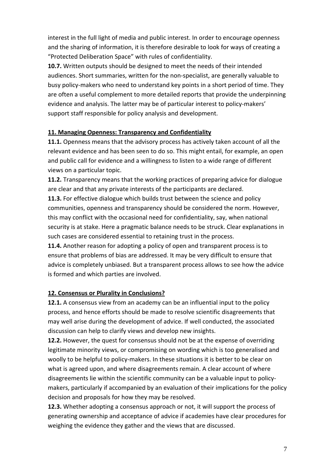interest in the full light of media and public interest. In order to encourage openness and the sharing of information, it is therefore desirable to look for ways of creating a "Protected Deliberation Space" with rules of confidentiality.

**10.7.** Written outputs should be designed to meet the needs of their intended audiences. Short summaries, written for the non‐specialist, are generally valuable to busy policy‐makers who need to understand key points in a short period of time. They are often a useful complement to more detailed reports that provide the underpinning evidence and analysis. The latter may be of particular interest to policy-makers' support staff responsible for policy analysis and development.

#### **11. Managing Openness: Transparency and Confidentiality**

**11.1.** Openness means that the advisory process has actively taken account of all the relevant evidence and has been seen to do so. This might entail, for example, an open and public call for evidence and a willingness to listen to a wide range of different views on a particular topic.

**11.2.** Transparency means that the working practices of preparing advice for dialogue are clear and that any private interests of the participants are declared.

**11.3.** For effective dialogue which builds trust between the science and policy communities, openness and transparency should be considered the norm. However, this may conflict with the occasional need for confidentiality, say, when national security is at stake. Here a pragmatic balance needs to be struck. Clear explanations in such cases are considered essential to retaining trust in the process.

**11.4.** Another reason for adopting a policy of open and transparent process is to ensure that problems of bias are addressed. It may be very difficult to ensure that advice is completely unbiased. But a transparent process allows to see how the advice is formed and which parties are involved.

## **12. Consensus or Plurality in Conclusions?**

**12.1.** A consensus view from an academy can be an influential input to the policy process, and hence efforts should be made to resolve scientific disagreements that may well arise during the development of advice. If well conducted, the associated discussion can help to clarify views and develop new insights.

**12.2.** However, the quest for consensus should not be at the expense of overriding legitimate minority views, or compromising on wording which is too generalised and woolly to be helpful to policy-makers. In these situations it is better to be clear on what is agreed upon, and where disagreements remain. A clear account of where disagreements lie within the scientific community can be a valuable input to policy‐ makers, particularly if accompanied by an evaluation of their implications for the policy decision and proposals for how they may be resolved.

**12.3.** Whether adopting a consensus approach or not, it will support the process of generating ownership and acceptance of advice if academies have clear procedures for weighing the evidence they gather and the views that are discussed.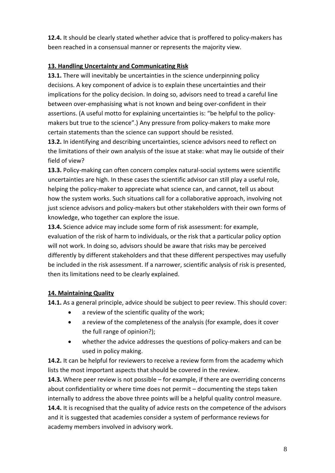**12.4.** It should be clearly stated whether advice that is proffered to policy‐makers has been reached in a consensual manner or represents the majority view.

## **13. Handling Uncertainty and Communicating Risk**

**13.1.** There will inevitably be uncertainties in the science underpinning policy decisions. A key component of advice is to explain these uncertainties and their implications for the policy decision. In doing so, advisors need to tread a careful line between over‐emphasising what is not known and being over‐confident in their assertions. (A useful motto for explaining uncertainties is: "be helpful to the policy‐ makers but true to the science".) Any pressure from policy-makers to make more certain statements than the science can support should be resisted.

**13.2.** In identifying and describing uncertainties, science advisors need to reflect on the limitations of their own analysis of the issue at stake: what may lie outside of their field of view?

**13.3.** Policy‐making can often concern complex natural‐social systems were scientific uncertainties are high. In these cases the scientific advisor can still play a useful role, helping the policy‐maker to appreciate what science can, and cannot, tell us about how the system works. Such situations call for a collaborative approach, involving not just science advisors and policy‐makers but other stakeholders with their own forms of knowledge, who together can explore the issue.

**13.4.** Science advice may include some form of risk assessment: for example, evaluation of the risk of harm to individuals, or the risk that a particular policy option will not work. In doing so, advisors should be aware that risks may be perceived differently by different stakeholders and that these different perspectives may usefully be included in the risk assessment. If a narrower, scientific analysis of risk is presented, then its limitations need to be clearly explained.

## **14. Maintaining Quality**

**14.1.** As a general principle, advice should be subject to peer review. This should cover:

- a review of the scientific quality of the work;
- a review of the completeness of the analysis (for example, does it cover the full range of opinion?);
- whether the advice addresses the questions of policy‐makers and can be used in policy making.

**14.2.** It can be helpful for reviewers to receive a review form from the academy which lists the most important aspects that should be covered in the review.

**14.3.** Where peer review is not possible – for example, if there are overriding concerns about confidentiality or where time does not permit – documenting the steps taken internally to address the above three points will be a helpful quality control measure. **14.4.** It is recognised that the quality of advice rests on the competence of the advisors and it is suggested that academies consider a system of performance reviews for academy members involved in advisory work.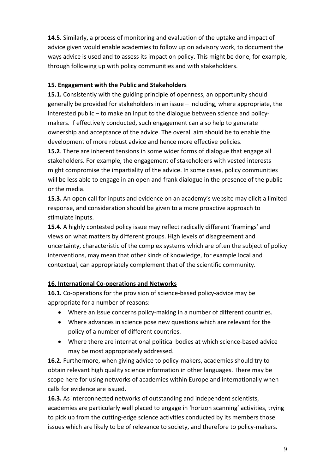**14.5.** Similarly, a process of monitoring and evaluation of the uptake and impact of advice given would enable academies to follow up on advisory work, to document the ways advice is used and to assess its impact on policy. This might be done, for example, through following up with policy communities and with stakeholders.

#### **15. Engagement with the Public and Stakeholders**

**15.1.** Consistently with the guiding principle of openness, an opportunity should generally be provided for stakeholders in an issue – including, where appropriate, the interested public – to make an input to the dialogue between science and policy‐ makers. If effectively conducted, such engagement can also help to generate ownership and acceptance of the advice. The overall aim should be to enable the development of more robust advice and hence more effective policies.

**15.2**. There are inherent tensions in some wider forms of dialogue that engage all stakeholders. For example, the engagement of stakeholders with vested interests might compromise the impartiality of the advice. In some cases, policy communities will be less able to engage in an open and frank dialogue in the presence of the public or the media.

**15.3.** An open call for inputs and evidence on an academy's website may elicit a limited response, and consideration should be given to a more proactive approach to stimulate inputs.

**15.4.** A highly contested policy issue may reflect radically different 'framings' and views on what matters by different groups. High levels of disagreement and uncertainty, characteristic of the complex systems which are often the subject of policy interventions, may mean that other kinds of knowledge, for example local and contextual, can appropriately complement that of the scientific community.

## **16. International Co‐operations and Networks**

**16.1.** Co-operations for the provision of science-based policy-advice may be appropriate for a number of reasons:

- Where an issue concerns policy-making in a number of different countries.
- Where advances in science pose new questions which are relevant for the policy of a number of different countries.
- Where there are international political bodies at which science-based advice may be most appropriately addressed.

**16.2.** Furthermore, when giving advice to policy‐makers, academies should try to obtain relevant high quality science information in other languages. There may be scope here for using networks of academies within Europe and internationally when calls for evidence are issued.

**16.3.** As interconnected networks of outstanding and independent scientists, academies are particularly well placed to engage in 'horizon scanning' activities, trying to pick up from the cutting‐edge science activities conducted by its members those issues which are likely to be of relevance to society, and therefore to policy-makers.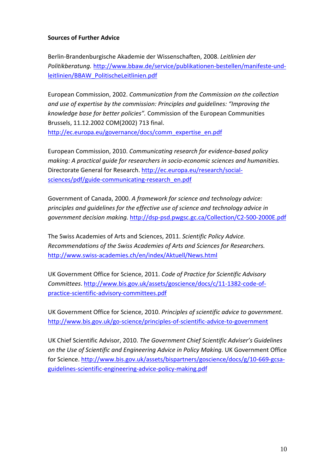#### **Sources of Further Advice**

Berlin‐Brandenburgische Akademie der Wissenschaften, 2008. *Leitlinien der Politikberatung.* http://www.bbaw.de/service/publikationen‐bestellen/manifeste‐und‐ leitlinien/BBAW\_PolitischeLeitlinien.pdf

European Commission, 2002. *Communication from the Commission on the collection and use of expertise by the commission: Principles and guidelines: "Improving the knowledge base for better policies".* Commission of the European Communities Brussels, 11.12.2002 COM(2002) 713 final. http://ec.europa.eu/governance/docs/comm\_expertise\_en.pdf

European Commission, 2010. *Communicating research for evidence‐based policy making: A practical guide for researchers in socio‐economic sciences and humanities.* Directorate General for Research. http://ec.europa.eu/research/social‐ sciences/pdf/guide-communicating-research\_en.pdf

Government of Canada, 2000. *A framework for science and technology advice: principles and guidelines for the effective use of science and technology advice in government decision making.* http://dsp‐psd.pwgsc.gc.ca/Collection/C2‐500‐2000E.pdf

The Swiss Academies of Arts and Sciences, 2011. *Scientific Policy Advice. Recommendations of the Swiss Academies of Arts and Sciences for Researchers.* http://www.swiss‐academies.ch/en/index/Aktuell/News.html

UK Government Office for Science, 2011. *Code of Practice for Scientific Advisory Committees*. http://www.bis.gov.uk/assets/goscience/docs/c/11‐1382‐code‐of‐ practice‐scientific‐advisory‐committees.pdf

UK Government Office for Science, 2010. *Principles of scientific advice to government*. http://www.bis.gov.uk/go‐science/principles‐of‐scientific‐advice‐to‐government

UK Chief Scientific Advisor, 2010. *The Government Chief Scientific Adviser's Guidelines on the Use of Scientific and Engineering Advice in Policy Making.* UK Government Office for Science. http://www.bis.gov.uk/assets/bispartners/goscience/docs/g/10‐669‐gcsa‐ guidelines‐scientific‐engineering‐advice‐policy‐making.pdf